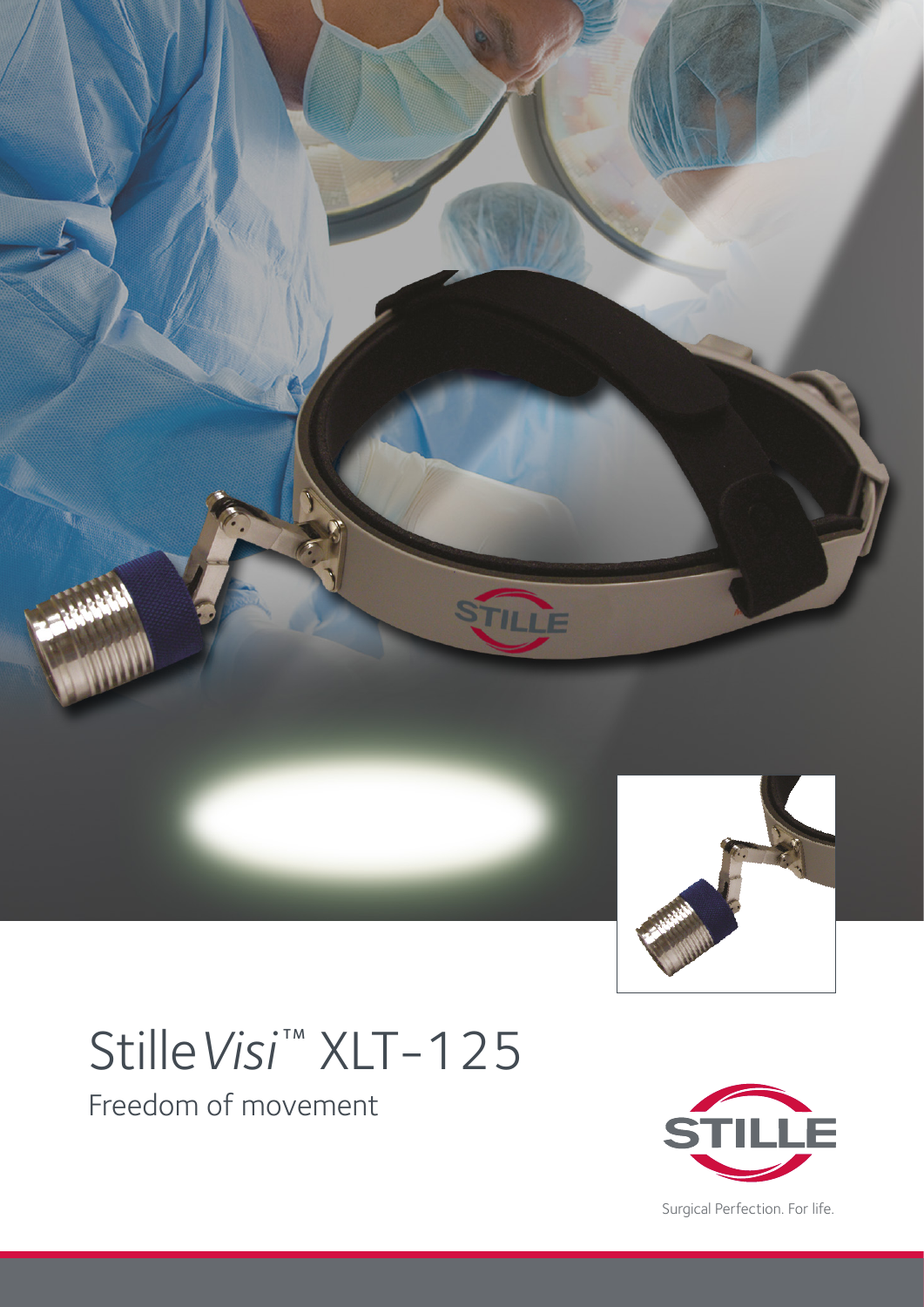

# Stille Visi<sup>™</sup> XLT-125

Freedom of movement



Surgical Perfection. For life.